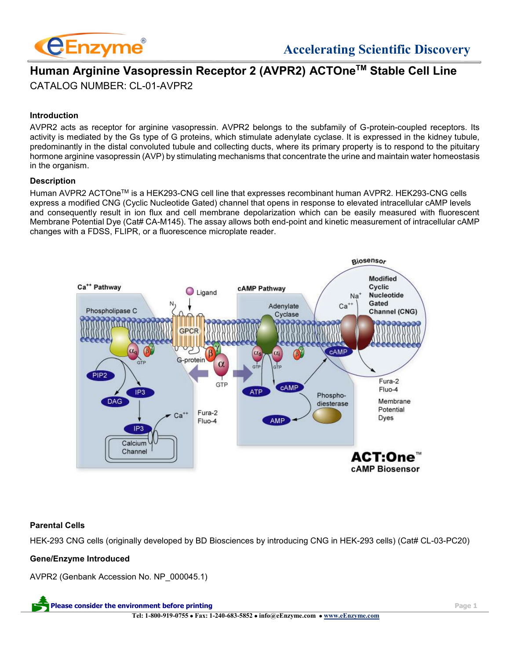

# **Human Arginine Vasopressin Receptor 2 (AVPR2) ACTOneTM Stable Cell Line** CATALOG NUMBER: CL-01-AVPR2

# **Introduction**

AVPR2 acts as receptor for arginine vasopressin. AVPR2 belongs to the subfamily of G-protein-coupled receptors. Its activity is mediated by the Gs type of G proteins, which stimulate adenylate cyclase. It is expressed in the kidney tubule, predominantly in the distal convoluted tubule and collecting ducts, where its primary property is to respond to the pituitary hormone arginine vasopressin (AVP) by stimulating mechanisms that concentrate the urine and maintain water homeostasis in the organism.

#### **Description**

Human AVPR2 ACTOneTM is a HEK293-CNG cell line that expresses recombinant human AVPR2. HEK293-CNG cells express a modified CNG (Cyclic Nucleotide Gated) channel that opens in response to elevated intracellular cAMP levels and consequently result in ion flux and cell membrane depolarization which can be easily measured with fluorescent Membrane Potential Dye (Cat# CA-M145). The assay allows both end-point and kinetic measurement of intracellular cAMP changes with a FDSS, FLIPR, or a fluorescence microplate reader.



# **Parental Cells**

HEK-293 CNG cells (originally developed by BD Biosciences by introducing CNG in HEK-293 cells) (Cat# CL-03-PC20)

# **Gene/Enzyme Introduced**

AVPR2 (Genbank Accession No. NP\_000045.1)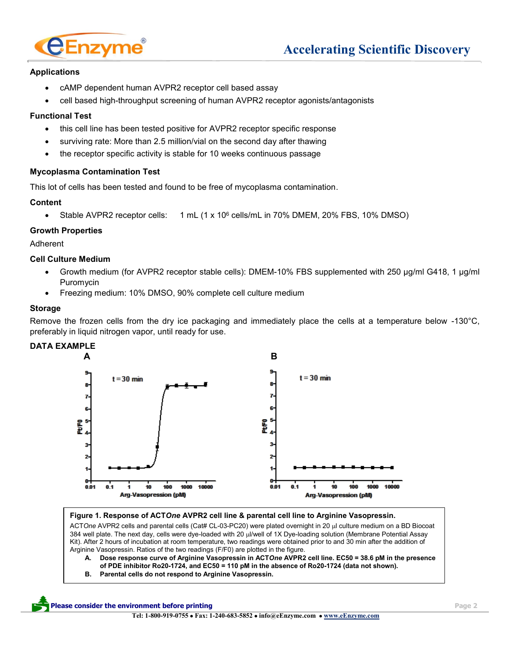

# **Applications**

- cAMP dependent human AVPR2 receptor cell based assay
- cell based high-throughput screening of human AVPR2 receptor agonists/antagonists

### **Functional Test**

- this cell line has been tested positive for AVPR2 receptor specific response
- surviving rate: More than 2.5 million/vial on the second day after thawing
- the receptor specific activity is stable for 10 weeks continuous passage

#### **Mycoplasma Contamination Test**

This lot of cells has been tested and found to be free of mycoplasma contamination.

#### **Content**

• Stable AVPR2 receptor cells: 1 mL (1 x 10<sup>6</sup> cells/mL in 70% DMEM, 20% FBS, 10% DMSO)

#### **Growth Properties**

Adherent

#### **Cell Culture Medium**

- Growth medium (for AVPR2 receptor stable cells): DMEM-10% FBS supplemented with 250 µg/ml G418, 1 µg/ml Puromycin
- Freezing medium: 10% DMSO, 90% complete cell culture medium

#### **Storage**

Remove the frozen cells from the dry ice packaging and immediately place the cells at a temperature below -130°C, preferably in liquid nitrogen vapor, until ready for use.

# **DATA EXAMPLE**



#### **Figure 1. Response of ACT***One* **AVPR2 cell line & parental cell line to Arginine Vasopressin.**

ACTOne AVPR2 cells and parental cells (Cat# CL-03-PC20) were plated overnight in 20 µl culture medium on a BD Biocoat 384 well plate. The next day, cells were dye-loaded with 20 µl/well of 1X Dye-loading solution (Membrane Potential Assay Kit). After 2 hours of incubation at room temperature, two readings were obtained prior to and 30 min after the addition of Arginine Vasopressin. Ratios of the two readings (F/F0) are plotted in the figure.

- **A. Dose response curve of Arginine Vasopressin in ACT***One* **AVPR2 cell line. EC50 = 38.6 pM in the presence of PDE inhibitor Ro20-1724, and EC50 = 110 pM in the absence of Ro20-1724 (data not shown).**
- **B. Parental cells do not respond to Arginine Vasopressin.**

#### **Please consider the environment before printing environment of the set of the set of the set of the set of the set of the set of the set of the set of the set of the set of the set of the set of the set of the set of the**

**Tel: 1-800-919-0755** • **Fax: 1-240-683-5852** • **info@eEnzyme.com** • **[www.eEnzyme.com](http://www.biomatik.com/)**